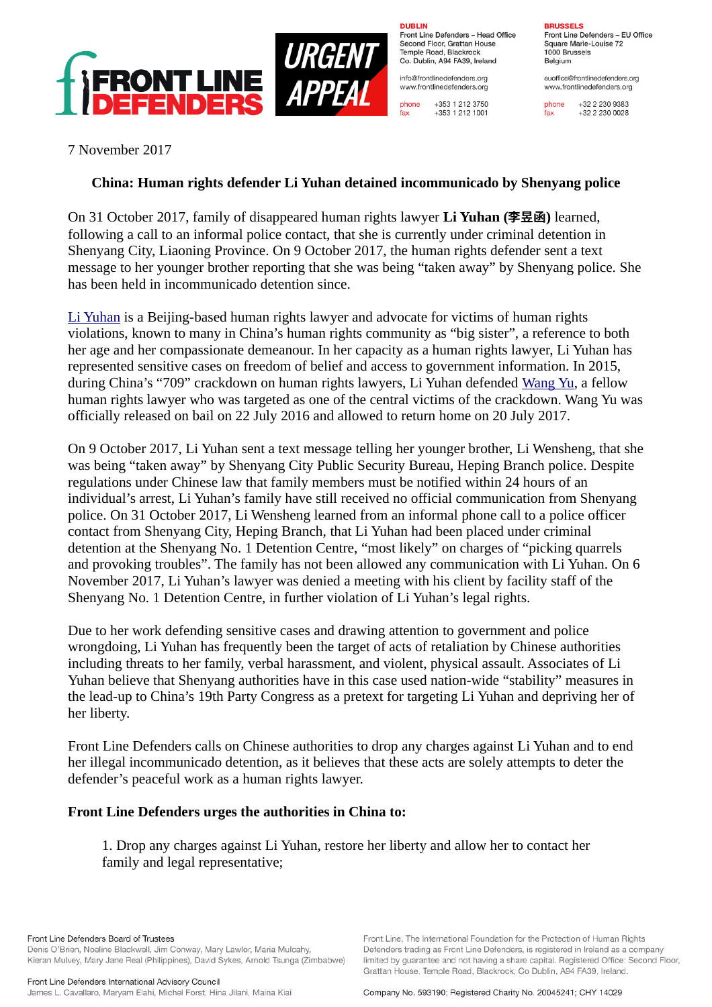

**DURLIN** Front Line Defenders - Head Office Second Floor, Grattan House Temple Boad, Blackrock Co. Dublin, A94 FA39, Ireland

info@frontlinedefenders.org www.frontlinedefenders.org

 $fax$ 

+353 1 212 3750 phone +353 1 212 1001

**BDHCCELC** 

Front Line Defenders - EU Office Square Marie-Louise 72 1000 Brussels Belgium

euoffice@frontlinedefenders.org www.frontlinedefenders.org

+32 2 230 9383 phone  $fax$  $+3222300028$ 

7 November 2017

## **China: Human rights defender Li Yuhan detained incommunicado by Shenyang police**

On 31 October 2017, family of disappeared human rights lawyer **Li Yuhan (李昱函)** learned, following a call to an informal police contact, that she is currently under criminal detention in Shenyang City, Liaoning Province. On 9 October 2017, the human rights defender sent a text message to her younger brother reporting that she was being "taken away" by Shenyang police. She has been held in incommunicado detention since.

[Li Yuhan](https://www.frontlinedefenders.org/en/profile/li-yuhan) is a Beijing-based human rights lawyer and advocate for victims of human rights violations, known to many in China's human rights community as "big sister", a reference to both her age and her compassionate demeanour. In her capacity as a human rights lawyer, Li Yuhan has represented sensitive cases on freedom of belief and access to government information. In 2015, during China's "709" crackdown on human rights lawyers, Li Yuhan defended [Wang Yu,](https://www.frontlinedefenders.org/en/profile/wang-yu) a fellow human rights lawyer who was targeted as one of the central victims of the crackdown. Wang Yu was officially released on bail on 22 July 2016 and allowed to return home on 20 July 2017.

On 9 October 2017, Li Yuhan sent a text message telling her younger brother, Li Wensheng, that she was being "taken away" by Shenyang City Public Security Bureau, Heping Branch police. Despite regulations under Chinese law that family members must be notified within 24 hours of an individual's arrest, Li Yuhan's family have still received no official communication from Shenyang police. On 31 October 2017, Li Wensheng learned from an informal phone call to a police officer contact from Shenyang City, Heping Branch, that Li Yuhan had been placed under criminal detention at the Shenyang No. 1 Detention Centre, "most likely" on charges of "picking quarrels and provoking troubles". The family has not been allowed any communication with Li Yuhan. On 6 November 2017, Li Yuhan's lawyer was denied a meeting with his client by facility staff of the Shenyang No. 1 Detention Centre, in further violation of Li Yuhan's legal rights.

Due to her work defending sensitive cases and drawing attention to government and police wrongdoing, Li Yuhan has frequently been the target of acts of retaliation by Chinese authorities including threats to her family, verbal harassment, and violent, physical assault. Associates of Li Yuhan believe that Shenyang authorities have in this case used nation-wide "stability" measures in the lead-up to China's 19th Party Congress as a pretext for targeting Li Yuhan and depriving her of her liberty.

Front Line Defenders calls on Chinese authorities to drop any charges against Li Yuhan and to end her illegal incommunicado detention, as it believes that these acts are solely attempts to deter the defender's peaceful work as a human rights lawyer.

## **Front Line Defenders urges the authorities in China to:**

1. Drop any charges against Li Yuhan, restore her liberty and allow her to contact her family and legal representative;

Front Line Defenders Board of Trustees

Denis O'Brien, Noeline Blackwell, Jim Conway, Mary Lawlor, Maria Mulcahy, Kieran Mulvey, Mary Jane Real (Philippines), David Sykes, Arnold Tsunga (Zimbabwe) Front Line. The International Foundation for the Protection of Human Rights

Company No. 593190; Registered Charity No. 20045241; CHY 14029